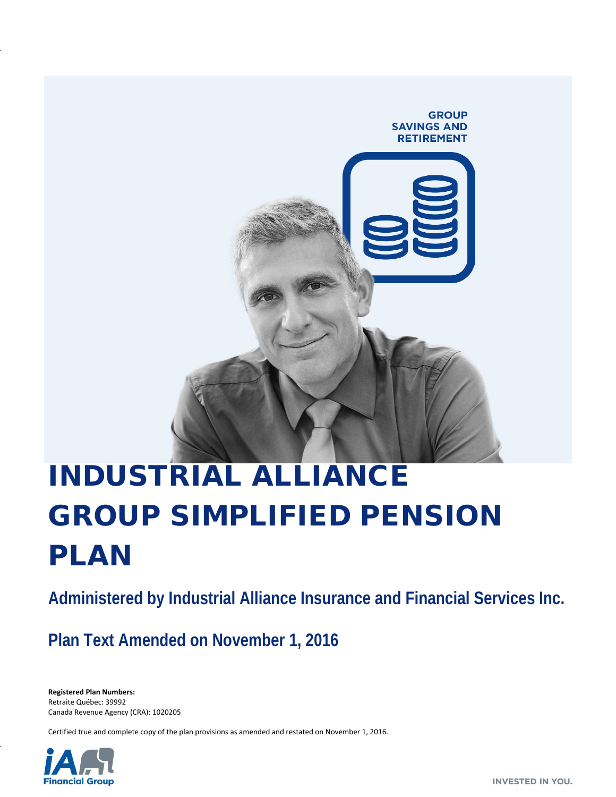# **GROUP SAVINGS AND RETIREMENT**

# INDUSTRIAL ALLIANCE GROUP SIMPLIFIED PENSION PLAN

**Administered by Industrial Alliance Insurance and Financial Services Inc.**

**Plan Text Amended on November 1, 2016**

**Registered Plan Numbers:** Retraite Québec: 39992 Canada Revenue Agency (CRA): 1020205

Certified true and complete copy of the plan provisions as amended and restated on November 1, 2016.

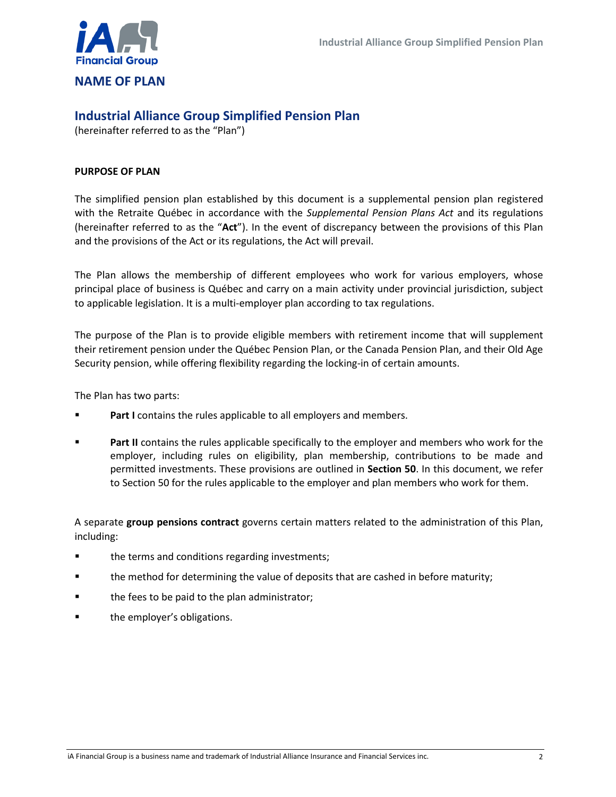

### **NAME OF PLAN**

## **Industrial Alliance Group Simplified Pension Plan**

(hereinafter referred to as the "Plan")

#### **PURPOSE OF PLAN**

The simplified pension plan established by this document is a supplemental pension plan registered with the Retraite Québec in accordance with the *Supplemental Pension Plans Act* and its regulations (hereinafter referred to as the "**Act**"). In the event of discrepancy between the provisions of this Plan and the provisions of the Act or its regulations, the Act will prevail.

The Plan allows the membership of different employees who work for various employers, whose principal place of business is Québec and carry on a main activity under provincial jurisdiction, subject to applicable legislation. It is a multi-employer plan according to tax regulations.

The purpose of the Plan is to provide eligible members with retirement income that will supplement their retirement pension under the Québec Pension Plan, or the Canada Pension Plan, and their Old Age Security pension, while offering flexibility regarding the locking-in of certain amounts.

The Plan has two parts:

- Part I contains the rules applicable to all employers and members.
- **Part II** contains the rules applicable specifically to the employer and members who work for the employer, including rules on eligibility, plan membership, contributions to be made and permitted investments. These provisions are outlined in **Section 50**. In this document, we refer to Section 50 for the rules applicable to the employer and plan members who work for them.

A separate **group pensions contract** governs certain matters related to the administration of this Plan, including:

- **the terms and conditions regarding investments;**
- the method for determining the value of deposits that are cashed in before maturity;
- the fees to be paid to the plan administrator;
- the employer's obligations.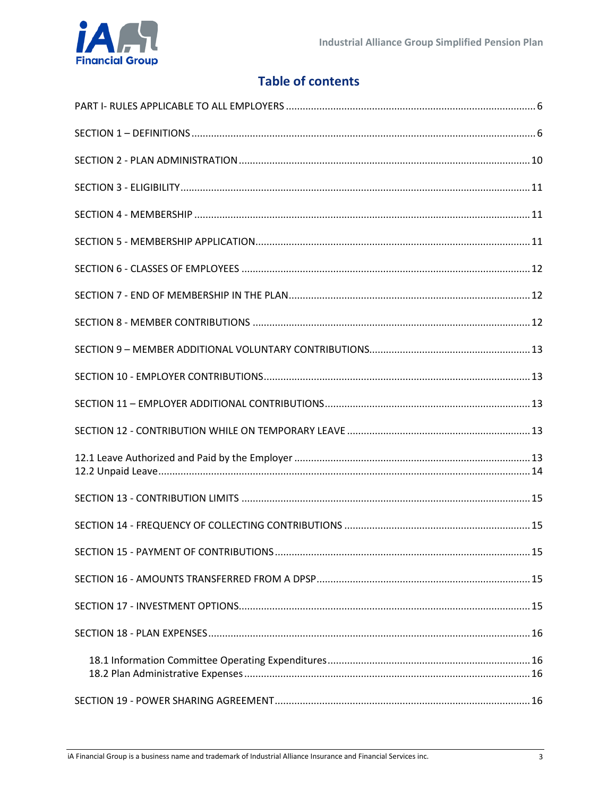# **Table of contents**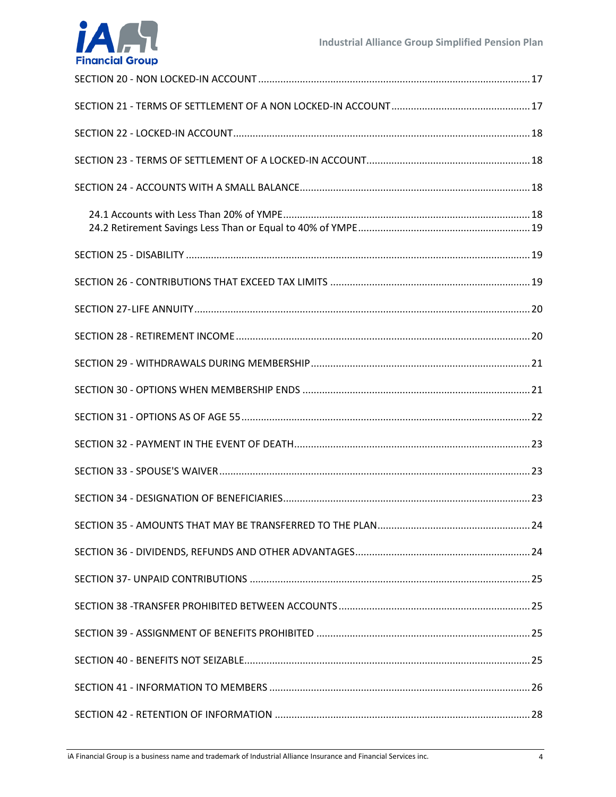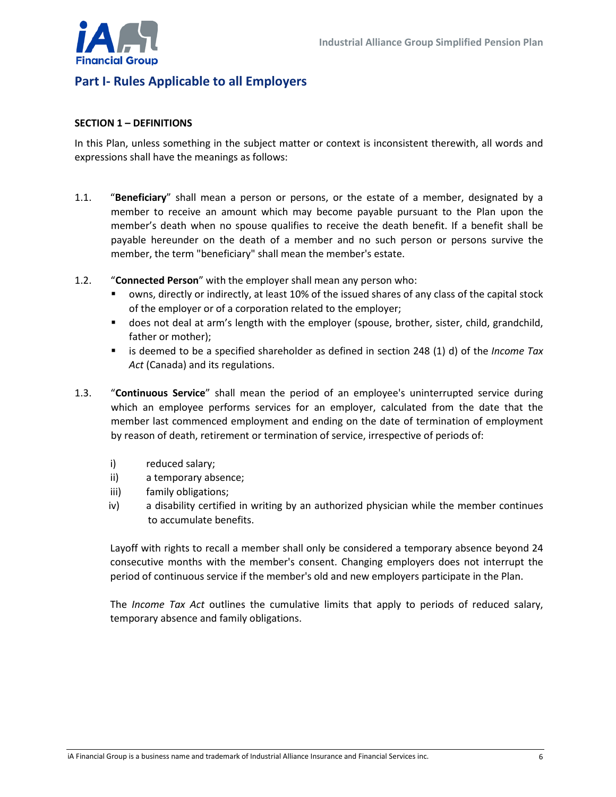

# <span id="page-5-0"></span>**Part I- Rules Applicable to all Employers**

#### <span id="page-5-1"></span>**SECTION 1 – DEFINITIONS**

In this Plan, unless something in the subject matter or context is inconsistent therewith, all words and expressions shall have the meanings as follows:

- 1.1. "**Beneficiary**" shall mean a person or persons, or the estate of a member, designated by a member to receive an amount which may become payable pursuant to the Plan upon the member's death when no spouse qualifies to receive the death benefit. If a benefit shall be payable hereunder on the death of a member and no such person or persons survive the member, the term "beneficiary" shall mean the member's estate.
- 1.2. "**Connected Person**" with the employer shall mean any person who:
	- owns, directly or indirectly, at least 10% of the issued shares of any class of the capital stock of the employer or of a corporation related to the employer;
	- does not deal at arm's length with the employer (spouse, brother, sister, child, grandchild, father or mother);
	- is deemed to be a specified shareholder as defined in section 248 (1) d) of the *Income Tax Act* (Canada) and its regulations.
- 1.3. "**Continuous Service**" shall mean the period of an employee's uninterrupted service during which an employee performs services for an employer, calculated from the date that the member last commenced employment and ending on the date of termination of employment by reason of death, retirement or termination of service, irrespective of periods of:
	- i) reduced salary;
	- ii) a temporary absence;
	- iii) family obligations;
	- iv) a disability certified in writing by an authorized physician while the member continues to accumulate benefits.

Layoff with rights to recall a member shall only be considered a temporary absence beyond 24 consecutive months with the member's consent. Changing employers does not interrupt the period of continuous service if the member's old and new employers participate in the Plan.

The *Income Tax Act* outlines the cumulative limits that apply to periods of reduced salary, temporary absence and family obligations.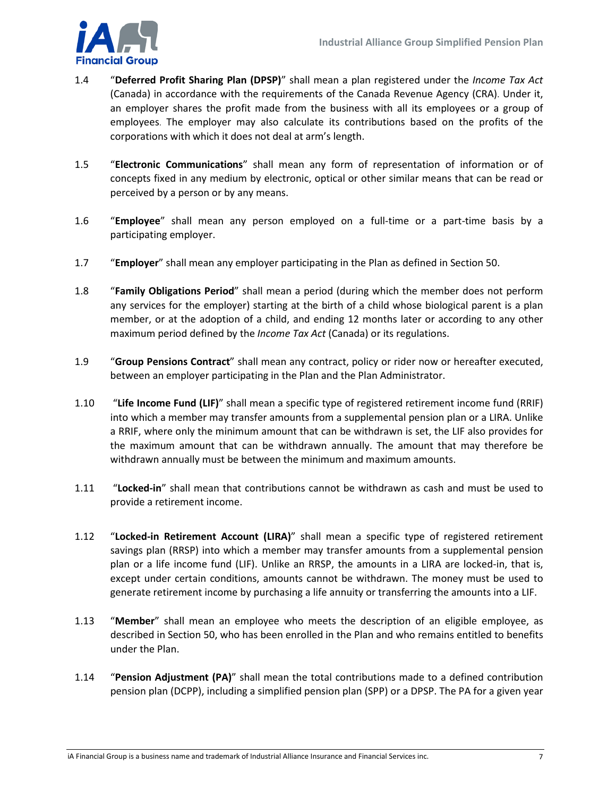

- 1.4 "**Deferred Profit Sharing Plan (DPSP)**" shall mean a plan registered under the *Income Tax Act* (Canada) in accordance with the requirements of the Canada Revenue Agency (CRA). Under it, an employer shares the profit made from the business with all its employees or a group of employees. The employer may also calculate its contributions based on the profits of the corporations with which it does not deal at arm's length.
- 1.5 "**Electronic Communications**" shall mean any form of representation of information or of concepts fixed in any medium by electronic, optical or other similar means that can be read or perceived by a person or by any means.
- 1.6 "**Employee**" shall mean any person employed on a full-time or a part-time basis by a participating employer.
- 1.7 "**Employer**" shall mean any employer participating in the Plan as defined in Section 50.
- 1.8 "**Family Obligations Period**" shall mean a period (during which the member does not perform any services for the employer) starting at the birth of a child whose biological parent is a plan member, or at the adoption of a child, and ending 12 months later or according to any other maximum period defined by the *Income Tax Act* (Canada) or its regulations.
- 1.9 "**Group Pensions Contract**" shall mean any contract, policy or rider now or hereafter executed, between an employer participating in the Plan and the Plan Administrator.
- 1.10 "**Life Income Fund (LIF)**" shall mean a specific type of registered retirement income fund (RRIF) into which a member may transfer amounts from a supplemental pension plan or a LIRA. Unlike a RRIF, where only the minimum amount that can be withdrawn is set, the LIF also provides for the maximum amount that can be withdrawn annually. The amount that may therefore be withdrawn annually must be between the minimum and maximum amounts.
- 1.11 "**Locked-in**" shall mean that contributions cannot be withdrawn as cash and must be used to provide a retirement income.
- 1.12 "**Locked-in Retirement Account (LIRA)**" shall mean a specific type of registered retirement savings plan (RRSP) into which a member may transfer amounts from a supplemental pension plan or a life income fund (LIF). Unlike an RRSP, the amounts in a LIRA are locked-in, that is, except under certain conditions, amounts cannot be withdrawn. The money must be used to generate retirement income by purchasing a life annuity or transferring the amounts into a LIF.
- 1.13 "**Member**" shall mean an employee who meets the description of an eligible employee, as described in Section 50, who has been enrolled in the Plan and who remains entitled to benefits under the Plan.
- 1.14 "**Pension Adjustment (PA)**" shall mean the total contributions made to a defined contribution pension plan (DCPP), including a simplified pension plan (SPP) or a DPSP. The PA for a given year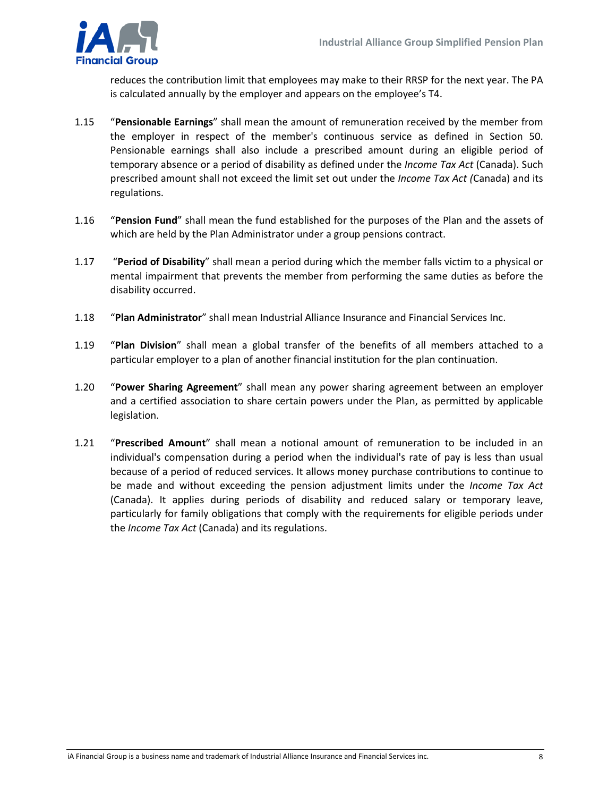

reduces the contribution limit that employees may make to their RRSP for the next year. The PA is calculated annually by the employer and appears on the employee's T4.

- 1.15 "**Pensionable Earnings**" shall mean the amount of remuneration received by the member from the employer in respect of the member's continuous service as defined in Section 50. Pensionable earnings shall also include a prescribed amount during an eligible period of temporary absence or a period of disability as defined under the *Income Tax Act* (Canada). Such prescribed amount shall not exceed the limit set out under the *Income Tax Act (*Canada) and its regulations.
- 1.16 "**Pension Fund**" shall mean the fund established for the purposes of the Plan and the assets of which are held by the Plan Administrator under a group pensions contract.
- 1.17 "**Period of Disability**" shall mean a period during which the member falls victim to a physical or mental impairment that prevents the member from performing the same duties as before the disability occurred.
- 1.18 "**Plan Administrator**" shall mean Industrial Alliance Insurance and Financial Services Inc.
- 1.19 "**Plan Division**" shall mean a global transfer of the benefits of all members attached to a particular employer to a plan of another financial institution for the plan continuation.
- 1.20 "**Power Sharing Agreement**" shall mean any power sharing agreement between an employer and a certified association to share certain powers under the Plan, as permitted by applicable legislation.
- 1.21 "**Prescribed Amount**" shall mean a notional amount of remuneration to be included in an individual's compensation during a period when the individual's rate of pay is less than usual because of a period of reduced services. It allows money purchase contributions to continue to be made and without exceeding the pension adjustment limits under the *Income Tax Act* (Canada). It applies during periods of disability and reduced salary or temporary leave, particularly for family obligations that comply with the requirements for eligible periods under the *Income Tax Act* (Canada) and its regulations.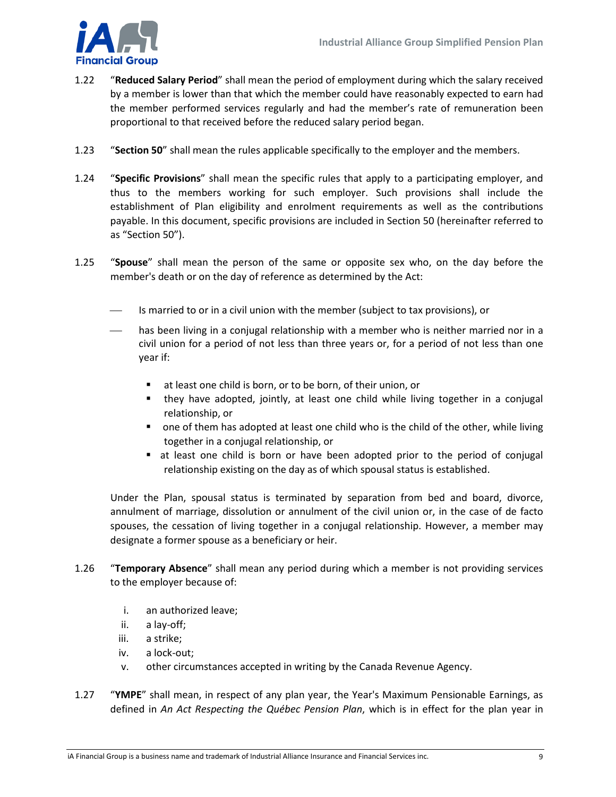

- 1.22 "**Reduced Salary Period**" shall mean the period of employment during which the salary received by a member is lower than that which the member could have reasonably expected to earn had the member performed services regularly and had the member's rate of remuneration been proportional to that received before the reduced salary period began.
- 1.23 "**Section 50**" shall mean the rules applicable specifically to the employer and the members.
- 1.24 "**Specific Provisions**" shall mean the specific rules that apply to a participating employer, and thus to the members working for such employer. Such provisions shall include the establishment of Plan eligibility and enrolment requirements as well as the contributions payable. In this document, specific provisions are included in Section 50 (hereinafter referred to as "Section 50").
- 1.25 "**Spouse**" shall mean the person of the same or opposite sex who, on the day before the member's death or on the day of reference as determined by the Act:
	- Is married to or in a civil union with the member (subject to tax provisions), or
	- has been living in a conjugal relationship with a member who is neither married nor in a civil union for a period of not less than three years or, for a period of not less than one year if:
		- at least one child is born, or to be born, of their union, or
		- they have adopted, jointly, at least one child while living together in a conjugal relationship, or
		- one of them has adopted at least one child who is the child of the other, while living together in a conjugal relationship, or
		- at least one child is born or have been adopted prior to the period of conjugal relationship existing on the day as of which spousal status is established.

Under the Plan, spousal status is terminated by separation from bed and board, divorce, annulment of marriage, dissolution or annulment of the civil union or, in the case of de facto spouses, the cessation of living together in a conjugal relationship. However, a member may designate a former spouse as a beneficiary or heir.

- 1.26 "**Temporary Absence**" shall mean any period during which a member is not providing services to the employer because of:
	- i. an authorized leave;
	- ii. a lay-off;
	- iii. a strike;
	- iv. a lock-out;
	- v. other circumstances accepted in writing by the Canada Revenue Agency.
- 1.27 "**YMPE**" shall mean, in respect of any plan year, the Year's Maximum Pensionable Earnings, as defined in *An Act Respecting the Québec Pension Plan*, which is in effect for the plan year in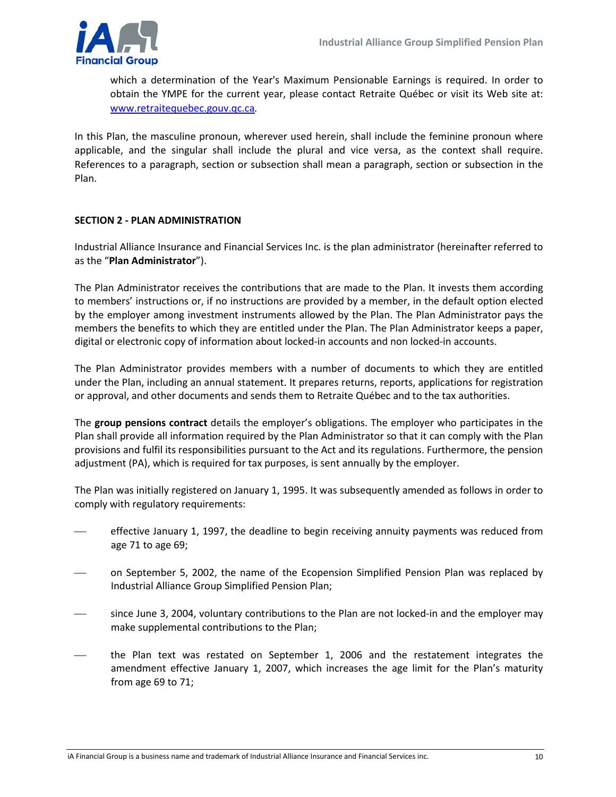

which a determination of the Year's Maximum Pensionable Earnings is required. In order to obtain the YMPE for the current year, please contact Retraite Québec or visit its Web site at: [www.retraitequebec.gouv.qc.ca](http://www.retraitequebec.gouv.qc.ca/)*.*

In this Plan, the masculine pronoun, wherever used herein, shall include the feminine pronoun where applicable, and the singular shall include the plural and vice versa, as the context shall require. References to a paragraph, section or subsection shall mean a paragraph, section or subsection in the Plan.

#### <span id="page-9-0"></span>**SECTION 2 - PLAN ADMINISTRATION**

Industrial Alliance Insurance and Financial Services Inc. is the plan administrator (hereinafter referred to as the "**Plan Administrator**").

The Plan Administrator receives the contributions that are made to the Plan. It invests them according to members' instructions or, if no instructions are provided by a member, in the default option elected by the employer among investment instruments allowed by the Plan. The Plan Administrator pays the members the benefits to which they are entitled under the Plan. The Plan Administrator keeps a paper, digital or electronic copy of information about locked-in accounts and non locked-in accounts.

The Plan Administrator provides members with a number of documents to which they are entitled under the Plan, including an annual statement. It prepares returns, reports, applications for registration or approval, and other documents and sends them to Retraite Québec and to the tax authorities.

The **group pensions contract** details the employer's obligations. The employer who participates in the Plan shall provide all information required by the Plan Administrator so that it can comply with the Plan provisions and fulfil its responsibilities pursuant to the Act and its regulations. Furthermore, the pension adjustment (PA), which is required for tax purposes, is sent annually by the employer.

The Plan was initially registered on January 1, 1995. It was subsequently amended as follows in order to comply with regulatory requirements:

- effective January 1, 1997, the deadline to begin receiving annuity payments was reduced from age 71 to age 69;
- on September 5, 2002, the name of the Ecopension Simplified Pension Plan was replaced by Industrial Alliance Group Simplified Pension Plan;
- since June 3, 2004, voluntary contributions to the Plan are not locked-in and the employer may make supplemental contributions to the Plan;
- the Plan text was restated on September 1, 2006 and the restatement integrates the amendment effective January 1, 2007, which increases the age limit for the Plan's maturity from age 69 to 71;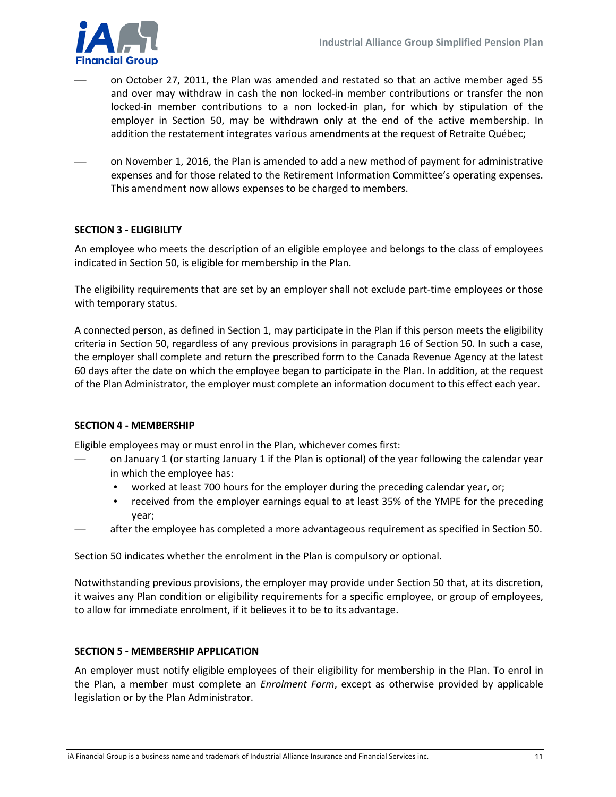

- on October 27, 2011, the Plan was amended and restated so that an active member aged 55 and over may withdraw in cash the non locked-in member contributions or transfer the non locked-in member contributions to a non locked-in plan, for which by stipulation of the employer in Section 50, may be withdrawn only at the end of the active membership. In addition the restatement integrates various amendments at the request of Retraite Québec;
- on November 1, 2016, the Plan is amended to add a new method of payment for administrative expenses and for those related to the Retirement Information Committee's operating expenses. This amendment now allows expenses to be charged to members.

#### <span id="page-10-0"></span>**SECTION 3 - ELIGIBILITY**

An employee who meets the description of an eligible employee and belongs to the class of employees indicated in Section 50, is eligible for membership in the Plan.

The eligibility requirements that are set by an employer shall not exclude part-time employees or those with temporary status.

A connected person, as defined in Section 1, may participate in the Plan if this person meets the eligibility criteria in Section 50, regardless of any previous provisions in paragraph 16 of Section 50. In such a case, the employer shall complete and return the prescribed form to the Canada Revenue Agency at the latest 60 days after the date on which the employee began to participate in the Plan. In addition, at the request of the Plan Administrator, the employer must complete an information document to this effect each year.

#### <span id="page-10-1"></span>**SECTION 4 - MEMBERSHIP**

Eligible employees may or must enrol in the Plan, whichever comes first:

- on January 1 (or starting January 1 if the Plan is optional) of the year following the calendar year in which the employee has:
	- worked at least 700 hours for the employer during the preceding calendar year, or;
	- received from the employer earnings equal to at least 35% of the YMPE for the preceding year;
- after the employee has completed a more advantageous requirement as specified in Section 50.

Section 50 indicates whether the enrolment in the Plan is compulsory or optional.

Notwithstanding previous provisions, the employer may provide under Section 50 that, at its discretion, it waives any Plan condition or eligibility requirements for a specific employee, or group of employees, to allow for immediate enrolment, if it believes it to be to its advantage.

#### <span id="page-10-2"></span>**SECTION 5 - MEMBERSHIP APPLICATION**

An employer must notify eligible employees of their eligibility for membership in the Plan. To enrol in the Plan, a member must complete an *Enrolment Form*, except as otherwise provided by applicable legislation or by the Plan Administrator.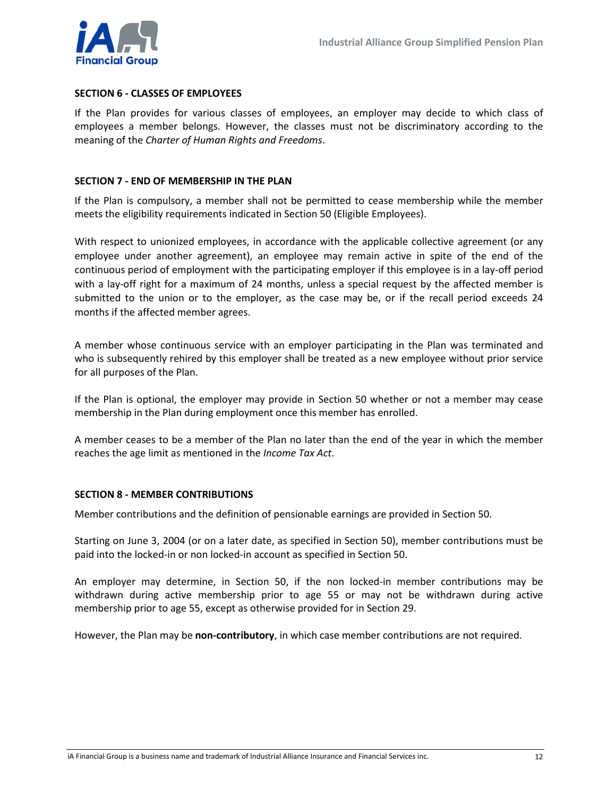

#### <span id="page-11-0"></span>**SECTION 6 - CLASSES OF EMPLOYEES**

If the Plan provides for various classes of employees, an employer may decide to which class of employees a member belongs. However, the classes must not be discriminatory according to the meaning of the *Charter of Human Rights and Freedoms*.

#### <span id="page-11-1"></span>**SECTION 7 - END OF MEMBERSHIP IN THE PLAN**

If the Plan is compulsory, a member shall not be permitted to cease membership while the member meets the eligibility requirements indicated in Section 50 (Eligible Employees).

With respect to unionized employees, in accordance with the applicable collective agreement (or any employee under another agreement), an employee may remain active in spite of the end of the continuous period of employment with the participating employer if this employee is in a lay-off period with a lay-off right for a maximum of 24 months, unless a special request by the affected member is submitted to the union or to the employer, as the case may be, or if the recall period exceeds 24 months if the affected member agrees.

A member whose continuous service with an employer participating in the Plan was terminated and who is subsequently rehired by this employer shall be treated as a new employee without prior service for all purposes of the Plan.

If the Plan is optional, the employer may provide in Section 50 whether or not a member may cease membership in the Plan during employment once this member has enrolled.

A member ceases to be a member of the Plan no later than the end of the year in which the member reaches the age limit as mentioned in the *Income Tax Act*.

#### <span id="page-11-2"></span>**SECTION 8 - MEMBER CONTRIBUTIONS**

Member contributions and the definition of pensionable earnings are provided in Section 50.

Starting on June 3, 2004 (or on a later date, as specified in Section 50), member contributions must be paid into the locked-in or non locked-in account as specified in Section 50.

An employer may determine, in Section 50, if the non locked-in member contributions may be withdrawn during active membership prior to age 55 or may not be withdrawn during active membership prior to age 55, except as otherwise provided for in Section 29.

However, the Plan may be **non-contributory**, in which case member contributions are not required.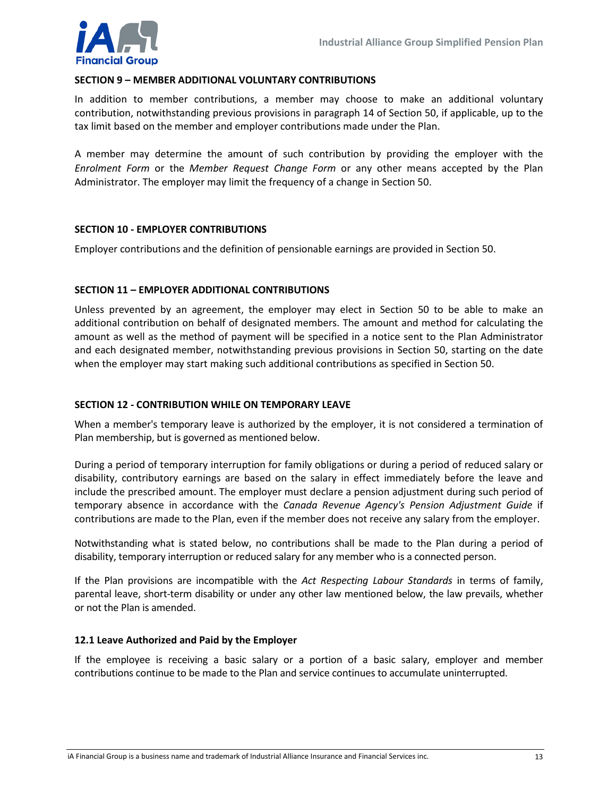

#### <span id="page-12-0"></span>**SECTION 9 – MEMBER ADDITIONAL VOLUNTARY CONTRIBUTIONS**

In addition to member contributions, a member may choose to make an additional voluntary contribution, notwithstanding previous provisions in paragraph 14 of Section 50, if applicable, up to the tax limit based on the member and employer contributions made under the Plan.

A member may determine the amount of such contribution by providing the employer with the *Enrolment Form* or the *Member Request Change Form* or any other means accepted by the Plan Administrator. The employer may limit the frequency of a change in Section 50.

#### <span id="page-12-1"></span>**SECTION 10 - EMPLOYER CONTRIBUTIONS**

Employer contributions and the definition of pensionable earnings are provided in Section 50.

#### <span id="page-12-2"></span>**SECTION 11 – EMPLOYER ADDITIONAL CONTRIBUTIONS**

Unless prevented by an agreement, the employer may elect in Section 50 to be able to make an additional contribution on behalf of designated members. The amount and method for calculating the amount as well as the method of payment will be specified in a notice sent to the Plan Administrator and each designated member, notwithstanding previous provisions in Section 50, starting on the date when the employer may start making such additional contributions as specified in Section 50.

#### <span id="page-12-3"></span>**SECTION 12 - CONTRIBUTION WHILE ON TEMPORARY LEAVE**

When a member's temporary leave is authorized by the employer, it is not considered a termination of Plan membership, but is governed as mentioned below.

During a period of temporary interruption for family obligations or during a period of reduced salary or disability, contributory earnings are based on the salary in effect immediately before the leave and include the prescribed amount. The employer must declare a pension adjustment during such period of temporary absence in accordance with the *Canada Revenue Agency's Pension Adjustment Guide* if contributions are made to the Plan, even if the member does not receive any salary from the employer.

Notwithstanding what is stated below, no contributions shall be made to the Plan during a period of disability, temporary interruption or reduced salary for any member who is a connected person.

If the Plan provisions are incompatible with the *Act Respecting Labour Standards* in terms of family, parental leave, short-term disability or under any other law mentioned below, the law prevails, whether or not the Plan is amended.

#### <span id="page-12-4"></span>**12.1 Leave Authorized and Paid by the Employer**

If the employee is receiving a basic salary or a portion of a basic salary, employer and member contributions continue to be made to the Plan and service continues to accumulate uninterrupted.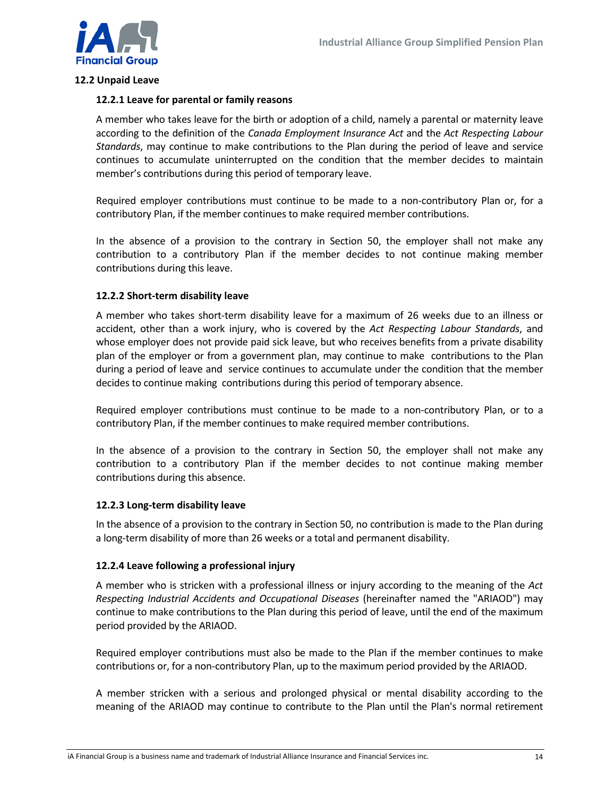

#### <span id="page-13-0"></span>**12.2 Unpaid Leave**

#### **12.2.1 Leave for parental or family reasons**

A member who takes leave for the birth or adoption of a child, namely a parental or maternity leave according to the definition of the *Canada Employment Insurance Act* and the *Act Respecting Labour Standards*, may continue to make contributions to the Plan during the period of leave and service continues to accumulate uninterrupted on the condition that the member decides to maintain member's contributions during this period of temporary leave.

Required employer contributions must continue to be made to a non-contributory Plan or, for a contributory Plan, if the member continues to make required member contributions.

In the absence of a provision to the contrary in Section 50, the employer shall not make any contribution to a contributory Plan if the member decides to not continue making member contributions during this leave.

#### **12.2.2 Short-term disability leave**

A member who takes short-term disability leave for a maximum of 26 weeks due to an illness or accident, other than a work injury, who is covered by the *Act Respecting Labour Standards*, and whose employer does not provide paid sick leave, but who receives benefits from a private disability plan of the employer or from a government plan, may continue to make contributions to the Plan during a period of leave and service continues to accumulate under the condition that the member decides to continue making contributions during this period of temporary absence.

Required employer contributions must continue to be made to a non-contributory Plan, or to a contributory Plan, if the member continues to make required member contributions.

In the absence of a provision to the contrary in Section 50, the employer shall not make any contribution to a contributory Plan if the member decides to not continue making member contributions during this absence.

#### **12.2.3 Long-term disability leave**

In the absence of a provision to the contrary in Section 50, no contribution is made to the Plan during a long-term disability of more than 26 weeks or a total and permanent disability.

#### **12.2.4 Leave following a professional injury**

A member who is stricken with a professional illness or injury according to the meaning of the *Act Respecting Industrial Accidents and Occupational Diseases* (hereinafter named the "ARIAOD") may continue to make contributions to the Plan during this period of leave, until the end of the maximum period provided by the ARIAOD.

Required employer contributions must also be made to the Plan if the member continues to make contributions or, for a non-contributory Plan, up to the maximum period provided by the ARIAOD.

A member stricken with a serious and prolonged physical or mental disability according to the meaning of the ARIAOD may continue to contribute to the Plan until the Plan's normal retirement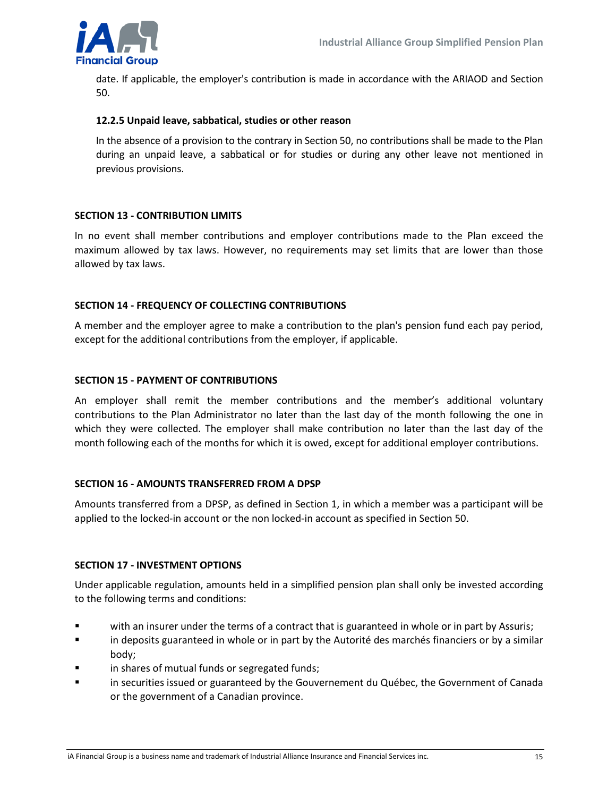

date. If applicable, the employer's contribution is made in accordance with the ARIAOD and Section 50.

#### **12.2.5 Unpaid leave, sabbatical, studies or other reason**

In the absence of a provision to the contrary in Section 50, no contributions shall be made to the Plan during an unpaid leave, a sabbatical or for studies or during any other leave not mentioned in previous provisions.

#### <span id="page-14-0"></span>**SECTION 13 - CONTRIBUTION LIMITS**

In no event shall member contributions and employer contributions made to the Plan exceed the maximum allowed by tax laws. However, no requirements may set limits that are lower than those allowed by tax laws.

#### <span id="page-14-1"></span>**SECTION 14 - FREQUENCY OF COLLECTING CONTRIBUTIONS**

A member and the employer agree to make a contribution to the plan's pension fund each pay period, except for the additional contributions from the employer, if applicable.

#### <span id="page-14-2"></span>**SECTION 15 - PAYMENT OF CONTRIBUTIONS**

An employer shall remit the member contributions and the member's additional voluntary contributions to the Plan Administrator no later than the last day of the month following the one in which they were collected. The employer shall make contribution no later than the last day of the month following each of the months for which it is owed, except for additional employer contributions.

#### <span id="page-14-3"></span>**SECTION 16 - AMOUNTS TRANSFERRED FROM A DPSP**

Amounts transferred from a DPSP, as defined in Section 1, in which a member was a participant will be applied to the locked-in account or the non locked-in account as specified in Section 50.

#### <span id="page-14-4"></span>**SECTION 17 - INVESTMENT OPTIONS**

Under applicable regulation, amounts held in a simplified pension plan shall only be invested according to the following terms and conditions:

- with an insurer under the terms of a contract that is guaranteed in whole or in part by Assuris;
- in deposits guaranteed in whole or in part by the Autorité des marchés financiers or by a similar body;
- in shares of mutual funds or segregated funds;
- in securities issued or guaranteed by the Gouvernement du Québec, the Government of Canada or the government of a Canadian province.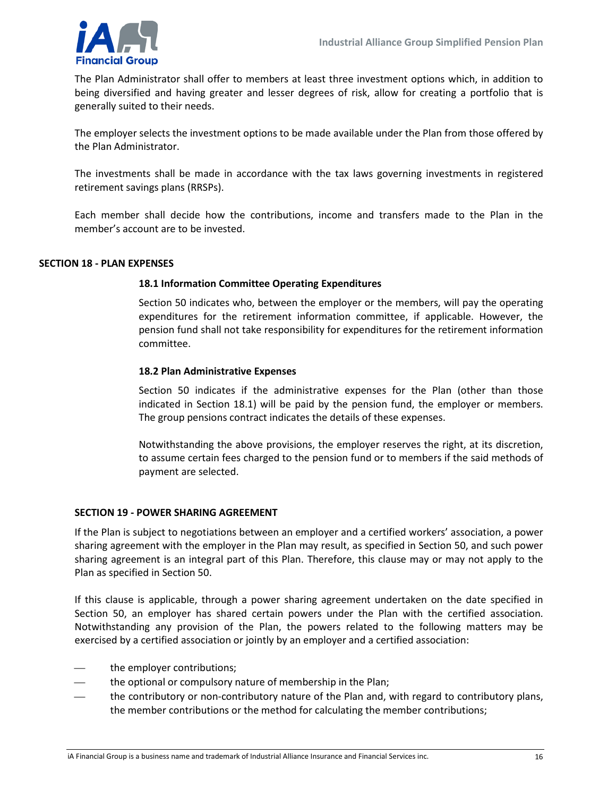

The Plan Administrator shall offer to members at least three investment options which, in addition to being diversified and having greater and lesser degrees of risk, allow for creating a portfolio that is generally suited to their needs.

The employer selects the investment options to be made available under the Plan from those offered by the Plan Administrator.

The investments shall be made in accordance with the tax laws governing investments in registered retirement savings plans (RRSPs).

Each member shall decide how the contributions, income and transfers made to the Plan in the member's account are to be invested.

#### <span id="page-15-0"></span>**SECTION 18 - PLAN EXPENSES**

#### <span id="page-15-1"></span>**18.1 Information Committee Operating Expenditures**

Section 50 indicates who, between the employer or the members, will pay the operating expenditures for the retirement information committee, if applicable. However, the pension fund shall not take responsibility for expenditures for the retirement information committee.

#### <span id="page-15-2"></span>**18.2 Plan Administrative Expenses**

Section 50 indicates if the administrative expenses for the Plan (other than those indicated in Section 18.1) will be paid by the pension fund, the employer or members. The group pensions contract indicates the details of these expenses.

Notwithstanding the above provisions, the employer reserves the right, at its discretion, to assume certain fees charged to the pension fund or to members if the said methods of payment are selected.

#### <span id="page-15-3"></span>**SECTION 19 - POWER SHARING AGREEMENT**

If the Plan is subject to negotiations between an employer and a certified workers' association, a power sharing agreement with the employer in the Plan may result, as specified in Section 50, and such power sharing agreement is an integral part of this Plan. Therefore, this clause may or may not apply to the Plan as specified in Section 50.

If this clause is applicable, through a power sharing agreement undertaken on the date specified in Section 50, an employer has shared certain powers under the Plan with the certified association. Notwithstanding any provision of the Plan, the powers related to the following matters may be exercised by a certified association or jointly by an employer and a certified association:

- the employer contributions;
- the optional or compulsory nature of membership in the Plan;
- the contributory or non-contributory nature of the Plan and, with regard to contributory plans, the member contributions or the method for calculating the member contributions;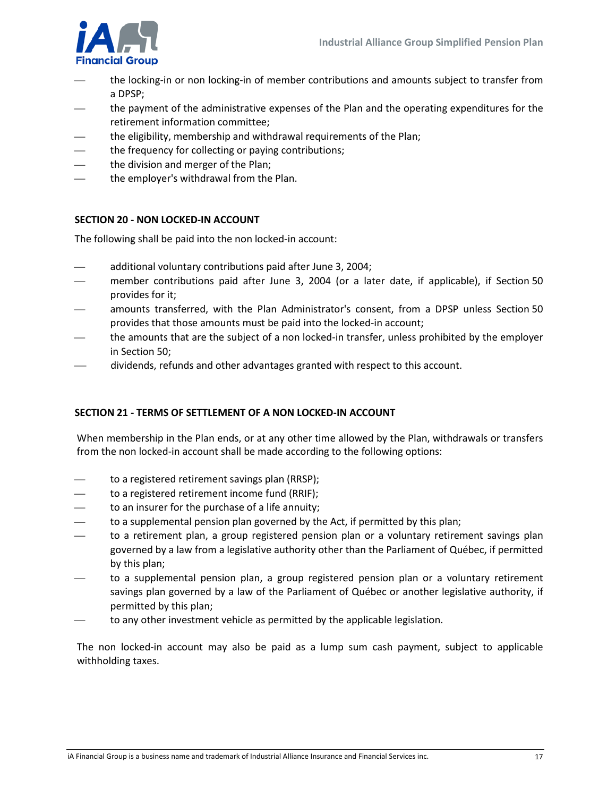

- the locking-in or non locking-in of member contributions and amounts subject to transfer from a DPSP;
- the payment of the administrative expenses of the Plan and the operating expenditures for the retirement information committee;
- the eligibility, membership and withdrawal requirements of the Plan;
- the frequency for collecting or paying contributions;
- the division and merger of the Plan;
- the employer's withdrawal from the Plan.

#### <span id="page-16-0"></span>**SECTION 20 - NON LOCKED-IN ACCOUNT**

The following shall be paid into the non locked-in account:

- additional voluntary contributions paid after June 3, 2004;
- member contributions paid after June 3, 2004 (or a later date, if applicable), if Section 50 provides for it;
- amounts transferred, with the Plan Administrator's consent, from a DPSP unless Section 50 provides that those amounts must be paid into the locked-in account;
- the amounts that are the subject of a non locked-in transfer, unless prohibited by the employer in Section 50;
- dividends, refunds and other advantages granted with respect to this account.

#### <span id="page-16-1"></span>**SECTION 21 - TERMS OF SETTLEMENT OF A NON LOCKED-IN ACCOUNT**

When membership in the Plan ends, or at any other time allowed by the Plan, withdrawals or transfers from the non locked-in account shall be made according to the following options:

- to a registered retirement savings plan (RRSP);
- to a registered retirement income fund (RRIF);
- to an insurer for the purchase of a life annuity;
- to a supplemental pension plan governed by the Act, if permitted by this plan;
- to a retirement plan, a group registered pension plan or a voluntary retirement savings plan governed by a law from a legislative authority other than the Parliament of Québec, if permitted by this plan;
- to a supplemental pension plan, a group registered pension plan or a voluntary retirement savings plan governed by a law of the Parliament of Québec or another legislative authority, if permitted by this plan;
- to any other investment vehicle as permitted by the applicable legislation.

The non locked-in account may also be paid as a lump sum cash payment, subject to applicable withholding taxes.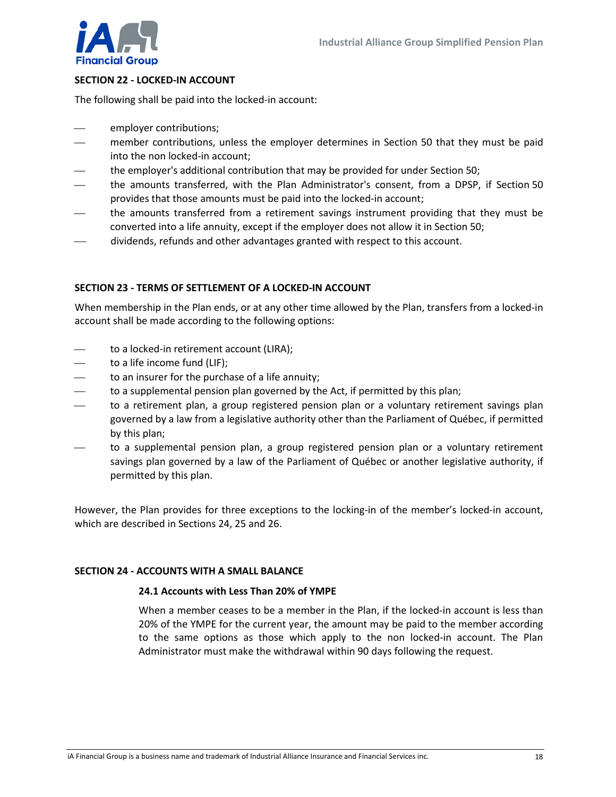

#### <span id="page-17-0"></span>**SECTION 22 - LOCKED-IN ACCOUNT**

The following shall be paid into the locked-in account:

- employer contributions;
- member contributions, unless the employer determines in Section 50 that they must be paid into the non locked-in account;
- the employer's additional contribution that may be provided for under Section 50;
- the amounts transferred, with the Plan Administrator's consent, from a DPSP, if Section 50 provides that those amounts must be paid into the locked-in account;
- the amounts transferred from a retirement savings instrument providing that they must be converted into a life annuity, except if the employer does not allow it in Section 50;
- dividends, refunds and other advantages granted with respect to this account.

#### <span id="page-17-1"></span>**SECTION 23 - TERMS OF SETTLEMENT OF A LOCKED-IN ACCOUNT**

When membership in the Plan ends, or at any other time allowed by the Plan, transfers from a locked-in account shall be made according to the following options:

- to a locked-in retirement account (LIRA);
- to a life income fund (LIF);
- to an insurer for the purchase of a life annuity;
- to a supplemental pension plan governed by the Act, if permitted by this plan;
- to a retirement plan, a group registered pension plan or a voluntary retirement savings plan governed by a law from a legislative authority other than the Parliament of Québec, if permitted by this plan;
- to a supplemental pension plan, a group registered pension plan or a voluntary retirement savings plan governed by a law of the Parliament of Québec or another legislative authority, if permitted by this plan.

However, the Plan provides for three exceptions to the locking-in of the member's locked-in account, which are described in Sections 24, 25 and 26.

#### <span id="page-17-2"></span>**SECTION 24 - ACCOUNTS WITH A SMALL BALANCE**

#### <span id="page-17-3"></span>**24.1 Accounts with Less Than 20% of YMPE**

When a member ceases to be a member in the Plan, if the locked-in account is less than 20% of the YMPE for the current year, the amount may be paid to the member according to the same options as those which apply to the non locked-in account. The Plan Administrator must make the withdrawal within 90 days following the request.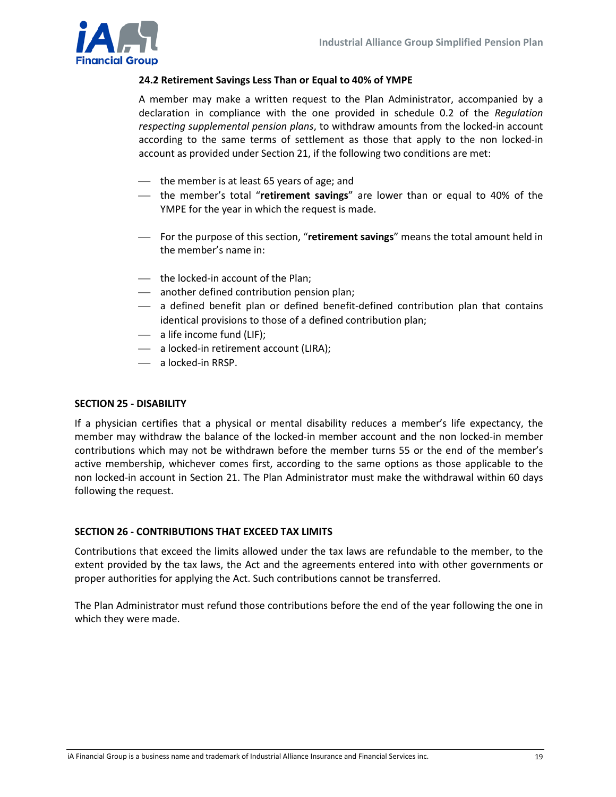

#### <span id="page-18-0"></span>**24.2 Retirement Savings Less Than or Equal to 40% of YMPE**

A member may make a written request to the Plan Administrator, accompanied by a declaration in compliance with the one provided in schedule 0.2 of the *Regulation respecting supplemental pension plans*, to withdraw amounts from the locked-in account according to the same terms of settlement as those that apply to the non locked-in account as provided under Section 21, if the following two conditions are met:

- the member is at least 65 years of age; and
- the member's total "**retirement savings**" are lower than or equal to 40% of the YMPE for the year in which the request is made.
- For the purpose of this section, "**retirement savings**" means the total amount held in the member's name in:
- the locked-in account of the Plan;
- another defined contribution pension plan;
- $-$  a defined benefit plan or defined benefit-defined contribution plan that contains identical provisions to those of a defined contribution plan;
- $\overline{\phantom{a}}$  a life income fund (LIF);
- a locked-in retirement account (LIRA);
- a locked-in RRSP.

#### <span id="page-18-1"></span>**SECTION 25 - DISABILITY**

If a physician certifies that a physical or mental disability reduces a member's life expectancy, the member may withdraw the balance of the locked-in member account and the non locked-in member contributions which may not be withdrawn before the member turns 55 or the end of the member's active membership, whichever comes first, according to the same options as those applicable to the non locked-in account in Section 21. The Plan Administrator must make the withdrawal within 60 days following the request.

#### <span id="page-18-2"></span>**SECTION 26 - CONTRIBUTIONS THAT EXCEED TAX LIMITS**

Contributions that exceed the limits allowed under the tax laws are refundable to the member, to the extent provided by the tax laws, the Act and the agreements entered into with other governments or proper authorities for applying the Act. Such contributions cannot be transferred.

The Plan Administrator must refund those contributions before the end of the year following the one in which they were made.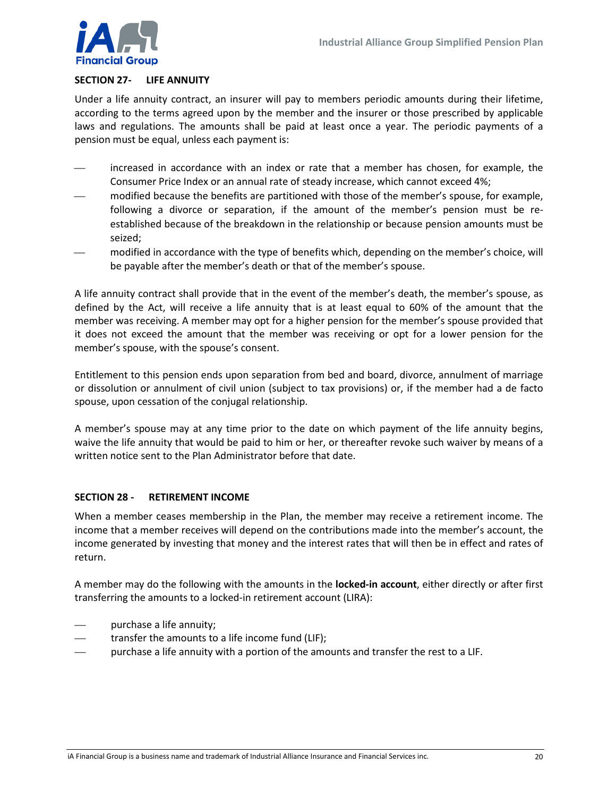

#### <span id="page-19-0"></span>**SECTION 27- LIFE ANNUITY**

Under a life annuity contract, an insurer will pay to members periodic amounts during their lifetime, according to the terms agreed upon by the member and the insurer or those prescribed by applicable laws and regulations. The amounts shall be paid at least once a year. The periodic payments of a pension must be equal, unless each payment is:

- increased in accordance with an index or rate that a member has chosen, for example, the Consumer Price Index or an annual rate of steady increase, which cannot exceed 4%;
- modified because the benefits are partitioned with those of the member's spouse, for example, following a divorce or separation, if the amount of the member's pension must be reestablished because of the breakdown in the relationship or because pension amounts must be seized;
- modified in accordance with the type of benefits which, depending on the member's choice, will be payable after the member's death or that of the member's spouse.

A life annuity contract shall provide that in the event of the member's death, the member's spouse, as defined by the Act, will receive a life annuity that is at least equal to 60% of the amount that the member was receiving. A member may opt for a higher pension for the member's spouse provided that it does not exceed the amount that the member was receiving or opt for a lower pension for the member's spouse, with the spouse's consent.

Entitlement to this pension ends upon separation from bed and board, divorce, annulment of marriage or dissolution or annulment of civil union (subject to tax provisions) or, if the member had a de facto spouse, upon cessation of the conjugal relationship.

A member's spouse may at any time prior to the date on which payment of the life annuity begins, waive the life annuity that would be paid to him or her, or thereafter revoke such waiver by means of a written notice sent to the Plan Administrator before that date.

#### <span id="page-19-1"></span>**SECTION 28 - RETIREMENT INCOME**

When a member ceases membership in the Plan, the member may receive a retirement income. The income that a member receives will depend on the contributions made into the member's account, the income generated by investing that money and the interest rates that will then be in effect and rates of return.

A member may do the following with the amounts in the **locked-in account**, either directly or after first transferring the amounts to a locked-in retirement account (LIRA):

- purchase a life annuity;
- transfer the amounts to a life income fund (LIF);
- purchase a life annuity with a portion of the amounts and transfer the rest to a LIF.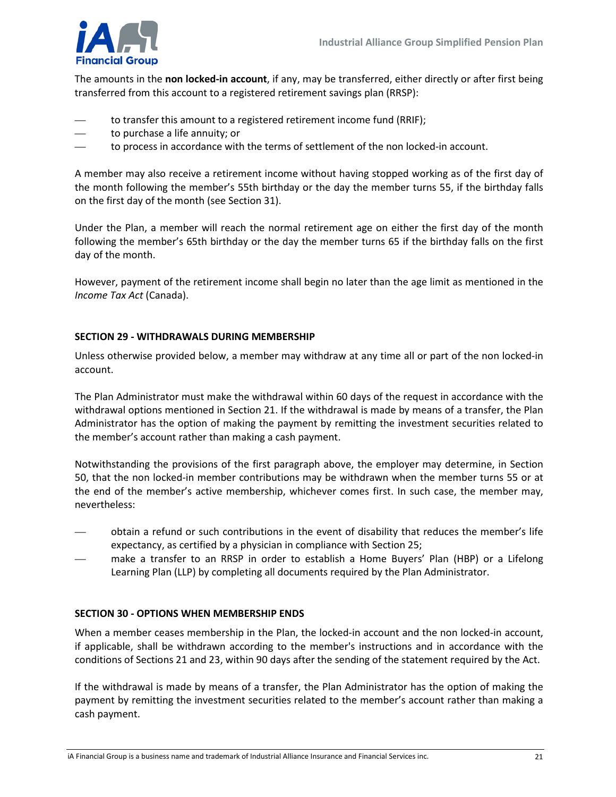

The amounts in the **non locked-in account**, if any, may be transferred, either directly or after first being transferred from this account to a registered retirement savings plan (RRSP):

- to transfer this amount to a registered retirement income fund (RRIF);
- to purchase a life annuity; or
- to process in accordance with the terms of settlement of the non locked-in account.

A member may also receive a retirement income without having stopped working as of the first day of the month following the member's 55th birthday or the day the member turns 55, if the birthday falls on the first day of the month (see Section 31).

Under the Plan, a member will reach the normal retirement age on either the first day of the month following the member's 65th birthday or the day the member turns 65 if the birthday falls on the first day of the month.

However, payment of the retirement income shall begin no later than the age limit as mentioned in the *Income Tax Act* (Canada).

#### <span id="page-20-0"></span>**SECTION 29 - WITHDRAWALS DURING MEMBERSHIP**

Unless otherwise provided below, a member may withdraw at any time all or part of the non locked-in account.

The Plan Administrator must make the withdrawal within 60 days of the request in accordance with the withdrawal options mentioned in Section 21. If the withdrawal is made by means of a transfer, the Plan Administrator has the option of making the payment by remitting the investment securities related to the member's account rather than making a cash payment.

Notwithstanding the provisions of the first paragraph above, the employer may determine, in Section 50, that the non locked-in member contributions may be withdrawn when the member turns 55 or at the end of the member's active membership, whichever comes first. In such case, the member may, nevertheless:

- obtain a refund or such contributions in the event of disability that reduces the member's life expectancy, as certified by a physician in compliance with Section 25;
- make a transfer to an RRSP in order to establish a Home Buyers' Plan (HBP) or a Lifelong Learning Plan (LLP) by completing all documents required by the Plan Administrator.

#### <span id="page-20-1"></span>**SECTION 30 - OPTIONS WHEN MEMBERSHIP ENDS**

When a member ceases membership in the Plan, the locked-in account and the non locked-in account, if applicable, shall be withdrawn according to the member's instructions and in accordance with the conditions of Sections 21 and 23, within 90 days after the sending of the statement required by the Act.

If the withdrawal is made by means of a transfer, the Plan Administrator has the option of making the payment by remitting the investment securities related to the member's account rather than making a cash payment.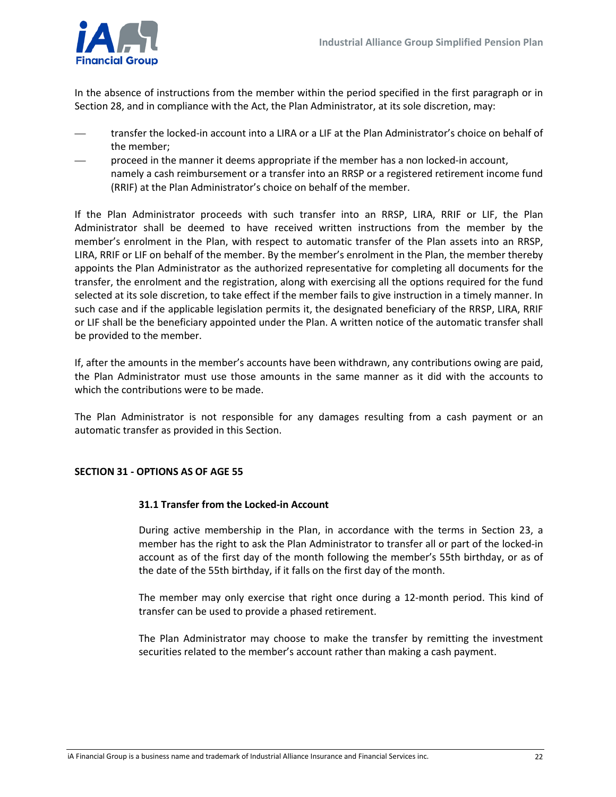

In the absence of instructions from the member within the period specified in the first paragraph or in Section 28, and in compliance with the Act, the Plan Administrator, at its sole discretion, may:

- transfer the locked-in account into a LIRA or a LIF at the Plan Administrator's choice on behalf of the member;
- proceed in the manner it deems appropriate if the member has a non locked-in account, namely a cash reimbursement or a transfer into an RRSP or a registered retirement income fund (RRIF) at the Plan Administrator's choice on behalf of the member.

If the Plan Administrator proceeds with such transfer into an RRSP, LIRA, RRIF or LIF, the Plan Administrator shall be deemed to have received written instructions from the member by the member's enrolment in the Plan, with respect to automatic transfer of the Plan assets into an RRSP, LIRA, RRIF or LIF on behalf of the member. By the member's enrolment in the Plan, the member thereby appoints the Plan Administrator as the authorized representative for completing all documents for the transfer, the enrolment and the registration, along with exercising all the options required for the fund selected at its sole discretion, to take effect if the member fails to give instruction in a timely manner. In such case and if the applicable legislation permits it, the designated beneficiary of the RRSP, LIRA, RRIF or LIF shall be the beneficiary appointed under the Plan. A written notice of the automatic transfer shall be provided to the member.

If, after the amounts in the member's accounts have been withdrawn, any contributions owing are paid, the Plan Administrator must use those amounts in the same manner as it did with the accounts to which the contributions were to be made.

The Plan Administrator is not responsible for any damages resulting from a cash payment or an automatic transfer as provided in this Section.

#### <span id="page-21-0"></span>**SECTION 31 - OPTIONS AS OF AGE 55**

#### **31.1 Transfer from the Locked-in Account**

During active membership in the Plan, in accordance with the terms in Section 23, a member has the right to ask the Plan Administrator to transfer all or part of the locked-in account as of the first day of the month following the member's 55th birthday, or as of the date of the 55th birthday, if it falls on the first day of the month.

The member may only exercise that right once during a 12-month period. This kind of transfer can be used to provide a phased retirement.

The Plan Administrator may choose to make the transfer by remitting the investment securities related to the member's account rather than making a cash payment.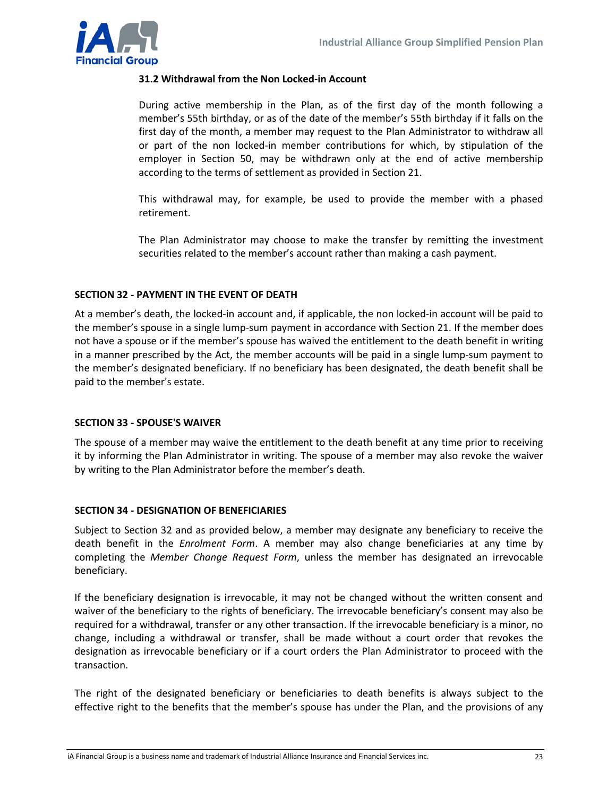

#### **31.2 Withdrawal from the Non Locked-in Account**

During active membership in the Plan, as of the first day of the month following a member's 55th birthday, or as of the date of the member's 55th birthday if it falls on the first day of the month, a member may request to the Plan Administrator to withdraw all or part of the non locked-in member contributions for which, by stipulation of the employer in Section 50, may be withdrawn only at the end of active membership according to the terms of settlement as provided in Section 21.

This withdrawal may, for example, be used to provide the member with a phased retirement.

The Plan Administrator may choose to make the transfer by remitting the investment securities related to the member's account rather than making a cash payment.

#### <span id="page-22-0"></span>**SECTION 32 - PAYMENT IN THE EVENT OF DEATH**

At a member's death, the locked-in account and, if applicable, the non locked-in account will be paid to the member's spouse in a single lump-sum payment in accordance with Section 21. If the member does not have a spouse or if the member's spouse has waived the entitlement to the death benefit in writing in a manner prescribed by the Act, the member accounts will be paid in a single lump-sum payment to the member's designated beneficiary. If no beneficiary has been designated, the death benefit shall be paid to the member's estate.

#### <span id="page-22-1"></span>**SECTION 33 - SPOUSE'S WAIVER**

The spouse of a member may waive the entitlement to the death benefit at any time prior to receiving it by informing the Plan Administrator in writing. The spouse of a member may also revoke the waiver by writing to the Plan Administrator before the member's death.

#### <span id="page-22-2"></span>**SECTION 34 - DESIGNATION OF BENEFICIARIES**

Subject to Section 32 and as provided below, a member may designate any beneficiary to receive the death benefit in the *Enrolment Form*. A member may also change beneficiaries at any time by completing the *Member Change Request Form*, unless the member has designated an irrevocable beneficiary.

If the beneficiary designation is irrevocable, it may not be changed without the written consent and waiver of the beneficiary to the rights of beneficiary. The irrevocable beneficiary's consent may also be required for a withdrawal, transfer or any other transaction. If the irrevocable beneficiary is a minor, no change, including a withdrawal or transfer, shall be made without a court order that revokes the designation as irrevocable beneficiary or if a court orders the Plan Administrator to proceed with the transaction.

The right of the designated beneficiary or beneficiaries to death benefits is always subject to the effective right to the benefits that the member's spouse has under the Plan, and the provisions of any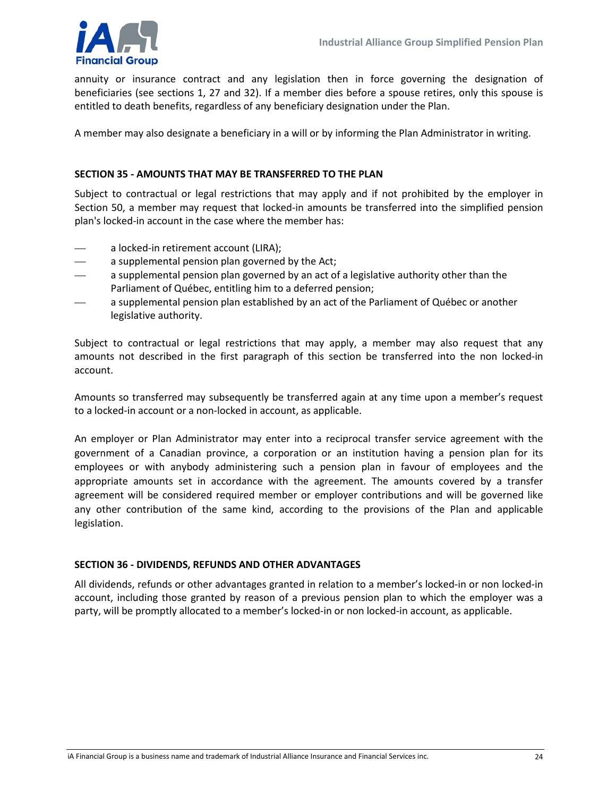

annuity or insurance contract and any legislation then in force governing the designation of beneficiaries (see sections 1, 27 and 32). If a member dies before a spouse retires, only this spouse is entitled to death benefits, regardless of any beneficiary designation under the Plan.

A member may also designate a beneficiary in a will or by informing the Plan Administrator in writing.

#### <span id="page-23-0"></span>**SECTION 35 - AMOUNTS THAT MAY BE TRANSFERRED TO THE PLAN**

Subject to contractual or legal restrictions that may apply and if not prohibited by the employer in Section 50, a member may request that locked-in amounts be transferred into the simplified pension plan's locked-in account in the case where the member has:

- a locked-in retirement account (LIRA);
- a supplemental pension plan governed by the Act;
- a supplemental pension plan governed by an act of a legislative authority other than the Parliament of Québec, entitling him to a deferred pension;
- a supplemental pension plan established by an act of the Parliament of Québec or another legislative authority.

Subject to contractual or legal restrictions that may apply, a member may also request that any amounts not described in the first paragraph of this section be transferred into the non locked-in account.

Amounts so transferred may subsequently be transferred again at any time upon a member's request to a locked-in account or a non-locked in account, as applicable.

An employer or Plan Administrator may enter into a reciprocal transfer service agreement with the government of a Canadian province, a corporation or an institution having a pension plan for its employees or with anybody administering such a pension plan in favour of employees and the appropriate amounts set in accordance with the agreement. The amounts covered by a transfer agreement will be considered required member or employer contributions and will be governed like any other contribution of the same kind, according to the provisions of the Plan and applicable legislation.

#### <span id="page-23-1"></span>**SECTION 36 - DIVIDENDS, REFUNDS AND OTHER ADVANTAGES**

All dividends, refunds or other advantages granted in relation to a member's locked-in or non locked-in account, including those granted by reason of a previous pension plan to which the employer was a party, will be promptly allocated to a member's locked-in or non locked-in account, as applicable.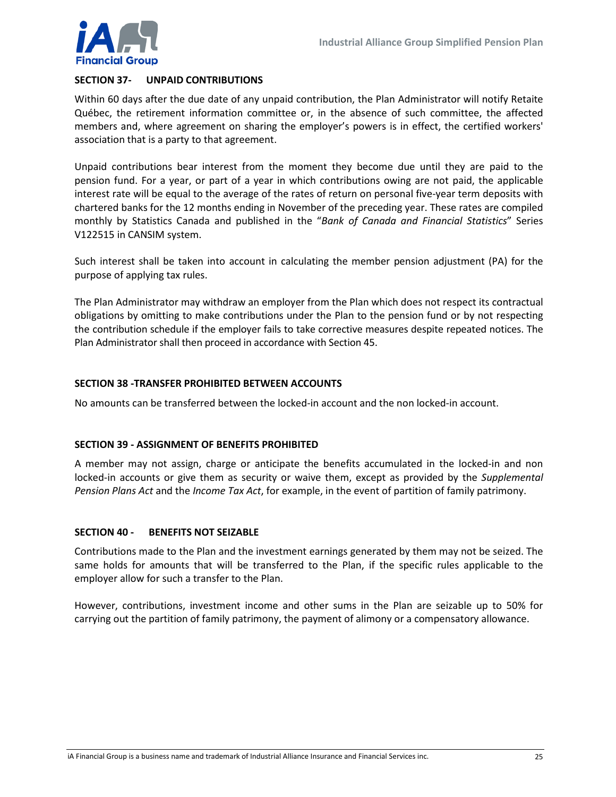

#### <span id="page-24-0"></span>**SECTION 37- UNPAID CONTRIBUTIONS**

Within 60 days after the due date of any unpaid contribution, the Plan Administrator will notify Retaite Québec, the retirement information committee or, in the absence of such committee, the affected members and, where agreement on sharing the employer's powers is in effect, the certified workers' association that is a party to that agreement.

Unpaid contributions bear interest from the moment they become due until they are paid to the pension fund. For a year, or part of a year in which contributions owing are not paid, the applicable interest rate will be equal to the average of the rates of return on personal five-year term deposits with chartered banks for the 12 months ending in November of the preceding year. These rates are compiled monthly by Statistics Canada and published in the "*Bank of Canada and Financial Statistics*" Series V122515 in CANSIM system.

Such interest shall be taken into account in calculating the member pension adjustment (PA) for the purpose of applying tax rules.

The Plan Administrator may withdraw an employer from the Plan which does not respect its contractual obligations by omitting to make contributions under the Plan to the pension fund or by not respecting the contribution schedule if the employer fails to take corrective measures despite repeated notices. The Plan Administrator shall then proceed in accordance with Section 45.

#### <span id="page-24-1"></span>**SECTION 38 -TRANSFER PROHIBITED BETWEEN ACCOUNTS**

No amounts can be transferred between the locked-in account and the non locked-in account.

#### <span id="page-24-2"></span>**SECTION 39 - ASSIGNMENT OF BENEFITS PROHIBITED**

A member may not assign, charge or anticipate the benefits accumulated in the locked-in and non locked-in accounts or give them as security or waive them, except as provided by the *Supplemental Pension Plans Act* and the *Income Tax Act*, for example, in the event of partition of family patrimony.

#### <span id="page-24-3"></span>**SECTION 40 - BENEFITS NOT SEIZABLE**

Contributions made to the Plan and the investment earnings generated by them may not be seized. The same holds for amounts that will be transferred to the Plan, if the specific rules applicable to the employer allow for such a transfer to the Plan.

However, contributions, investment income and other sums in the Plan are seizable up to 50% for carrying out the partition of family patrimony, the payment of alimony or a compensatory allowance.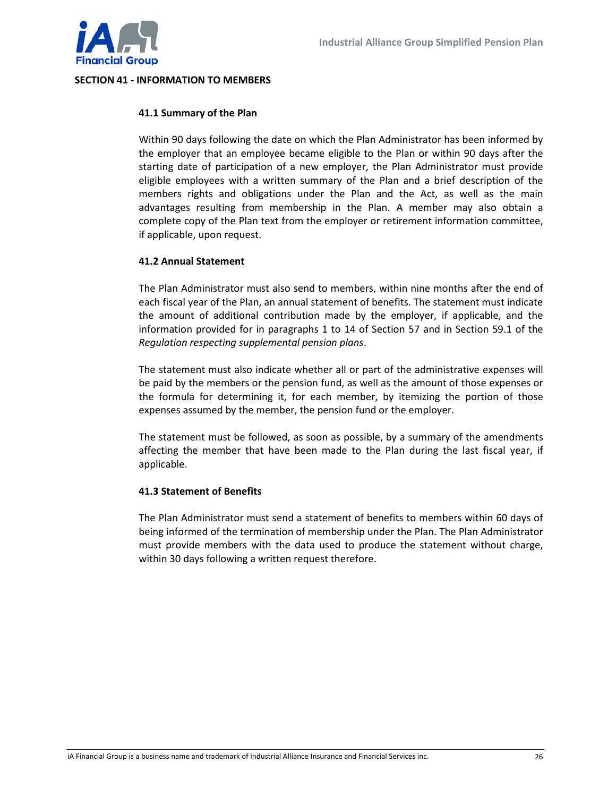

#### <span id="page-25-0"></span>**SECTION 41 - INFORMATION TO MEMBERS**

#### **41.1 Summary of the Plan**

Within 90 days following the date on which the Plan Administrator has been informed by the employer that an employee became eligible to the Plan or within 90 days after the starting date of participation of a new employer, the Plan Administrator must provide eligible employees with a written summary of the Plan and a brief description of the members rights and obligations under the Plan and the Act, as well as the main advantages resulting from membership in the Plan. A member may also obtain a complete copy of the Plan text from the employer or retirement information committee, if applicable, upon request.

#### **41.2 Annual Statement**

The Plan Administrator must also send to members, within nine months after the end of each fiscal year of the Plan, an annual statement of benefits. The statement must indicate the amount of additional contribution made by the employer, if applicable, and the information provided for in paragraphs 1 to 14 of Section 57 and in Section 59.1 of the *Regulation respecting supplemental pension plans*.

The statement must also indicate whether all or part of the administrative expenses will be paid by the members or the pension fund, as well as the amount of those expenses or the formula for determining it, for each member, by itemizing the portion of those expenses assumed by the member, the pension fund or the employer.

The statement must be followed, as soon as possible, by a summary of the amendments affecting the member that have been made to the Plan during the last fiscal year, if applicable.

#### **41.3 Statement of Benefits**

The Plan Administrator must send a statement of benefits to members within 60 days of being informed of the termination of membership under the Plan. The Plan Administrator must provide members with the data used to produce the statement without charge, within 30 days following a written request therefore.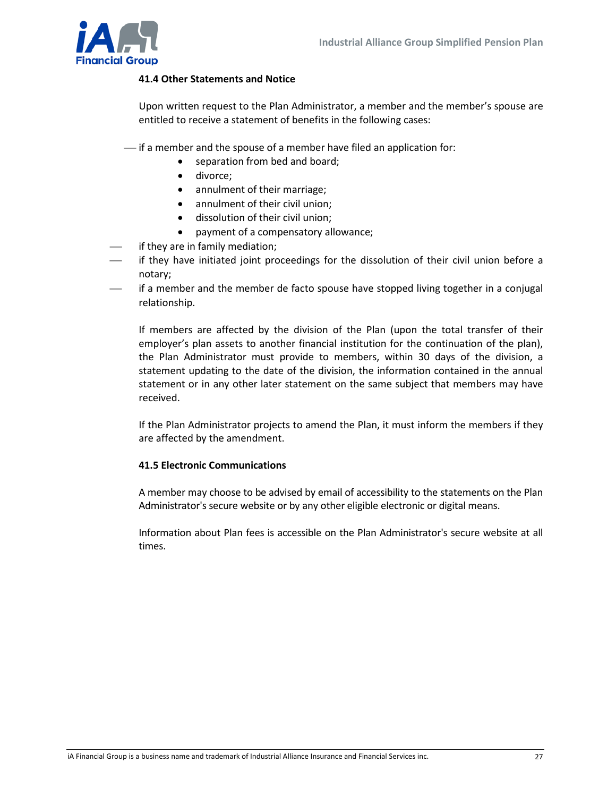

#### **41.4 Other Statements and Notice**

Upon written request to the Plan Administrator, a member and the member's spouse are entitled to receive a statement of benefits in the following cases:

- $\frac{1}{1}$  if a member and the spouse of a member have filed an application for:
	- separation from bed and board;
	- divorce;
	- annulment of their marriage;
	- annulment of their civil union;
	- dissolution of their civil union;
	- payment of a compensatory allowance;
- if they are in family mediation;
- if they have initiated joint proceedings for the dissolution of their civil union before a notary;
- if a member and the member de facto spouse have stopped living together in a conjugal relationship.

If members are affected by the division of the Plan (upon the total transfer of their employer's plan assets to another financial institution for the continuation of the plan), the Plan Administrator must provide to members, within 30 days of the division, a statement updating to the date of the division, the information contained in the annual statement or in any other later statement on the same subject that members may have received.

If the Plan Administrator projects to amend the Plan, it must inform the members if they are affected by the amendment.

#### **41.5 Electronic Communications**

A member may choose to be advised by email of accessibility to the statements on the Plan Administrator's secure website or by any other eligible electronic or digital means.

Information about Plan fees is accessible on the Plan Administrator's secure website at all times.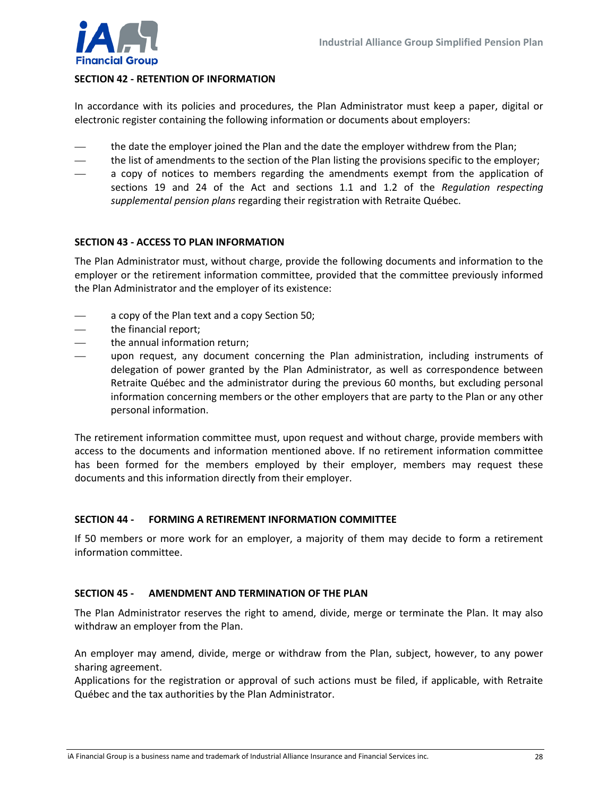

#### <span id="page-27-0"></span>**SECTION 42 - RETENTION OF INFORMATION**

In accordance with its policies and procedures, the Plan Administrator must keep a paper, digital or electronic register containing the following information or documents about employers:

- the date the employer joined the Plan and the date the employer withdrew from the Plan;
- the list of amendments to the section of the Plan listing the provisions specific to the employer;
- a copy of notices to members regarding the amendments exempt from the application of sections 19 and 24 of the Act and sections 1.1 and 1.2 of the *Regulation respecting supplemental pension plans* regarding their registration with Retraite Québec.

#### <span id="page-27-1"></span>**SECTION 43 - ACCESS TO PLAN INFORMATION**

The Plan Administrator must, without charge, provide the following documents and information to the employer or the retirement information committee, provided that the committee previously informed the Plan Administrator and the employer of its existence:

- a copy of the Plan text and a copy Section 50;
- the financial report;
- the annual information return;
- upon request, any document concerning the Plan administration, including instruments of delegation of power granted by the Plan Administrator, as well as correspondence between Retraite Québec and the administrator during the previous 60 months, but excluding personal information concerning members or the other employers that are party to the Plan or any other personal information.

The retirement information committee must, upon request and without charge, provide members with access to the documents and information mentioned above. If no retirement information committee has been formed for the members employed by their employer, members may request these documents and this information directly from their employer.

#### <span id="page-27-2"></span>**SECTION 44 - FORMING A RETIREMENT INFORMATION COMMITTEE**

If 50 members or more work for an employer, a majority of them may decide to form a retirement information committee.

#### <span id="page-27-3"></span>**SECTION 45 - AMENDMENT AND TERMINATION OF THE PLAN**

The Plan Administrator reserves the right to amend, divide, merge or terminate the Plan. It may also withdraw an employer from the Plan.

An employer may amend, divide, merge or withdraw from the Plan, subject, however, to any power sharing agreement.

Applications for the registration or approval of such actions must be filed, if applicable, with Retraite Québec and the tax authorities by the Plan Administrator.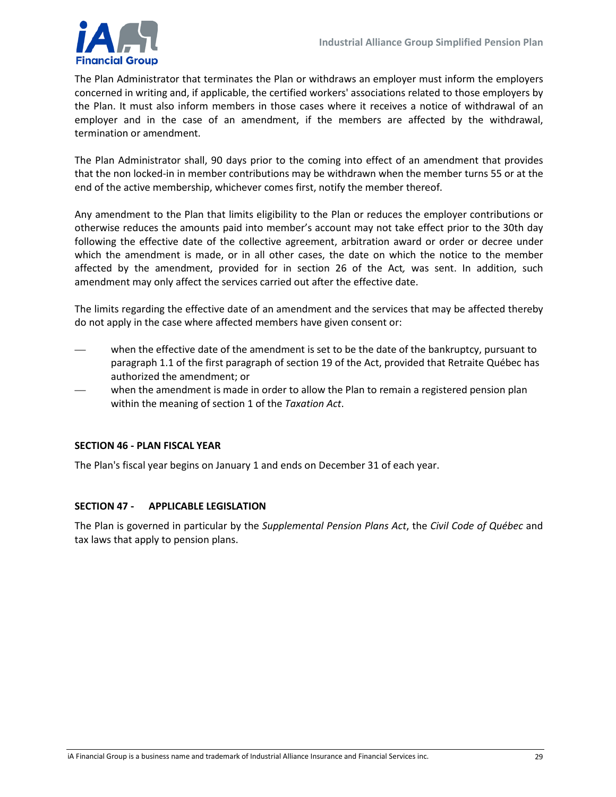

The Plan Administrator that terminates the Plan or withdraws an employer must inform the employers concerned in writing and, if applicable, the certified workers' associations related to those employers by the Plan. It must also inform members in those cases where it receives a notice of withdrawal of an employer and in the case of an amendment, if the members are affected by the withdrawal, termination or amendment.

The Plan Administrator shall, 90 days prior to the coming into effect of an amendment that provides that the non locked-in in member contributions may be withdrawn when the member turns 55 or at the end of the active membership, whichever comes first, notify the member thereof.

Any amendment to the Plan that limits eligibility to the Plan or reduces the employer contributions or otherwise reduces the amounts paid into member's account may not take effect prior to the 30th day following the effective date of the collective agreement, arbitration award or order or decree under which the amendment is made, or in all other cases, the date on which the notice to the member affected by the amendment, provided for in section 26 of the Act*,* was sent. In addition, such amendment may only affect the services carried out after the effective date.

The limits regarding the effective date of an amendment and the services that may be affected thereby do not apply in the case where affected members have given consent or:

- when the effective date of the amendment is set to be the date of the bankruptcy, pursuant to paragraph 1.1 of the first paragraph of section 19 of the Act, provided that Retraite Québec has authorized the amendment; or
- when the amendment is made in order to allow the Plan to remain a registered pension plan within the meaning of section 1 of the *Taxation Act*.

#### <span id="page-28-0"></span>**SECTION 46 - PLAN FISCAL YEAR**

The Plan's fiscal year begins on January 1 and ends on December 31 of each year.

#### <span id="page-28-1"></span>**SECTION 47 - APPLICABLE LEGISLATION**

<span id="page-28-2"></span>The Plan is governed in particular by the *Supplemental Pension Plans Act*, the *Civil Code of Québec* and tax laws that apply to pension plans.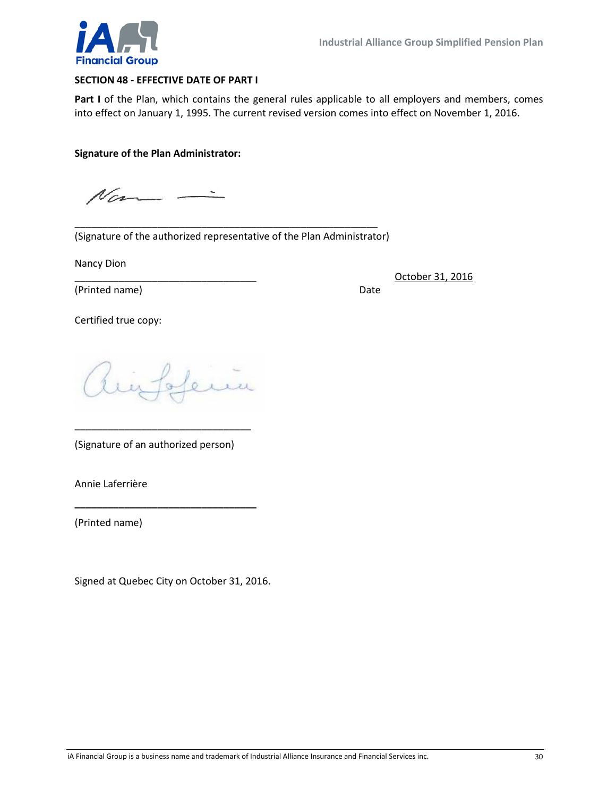

#### **SECTION 48 - EFFECTIVE DATE OF PART I**

Part I of the Plan, which contains the general rules applicable to all employers and members, comes into effect on January 1, 1995. The current revised version comes into effect on November 1, 2016.

#### **Signature of the Plan Administrator:**

 $N_{\text{cm}}-$ 

\_\_\_\_\_\_\_\_\_\_\_\_\_\_\_\_\_\_\_\_\_\_\_\_\_\_\_\_\_\_\_\_\_\_\_\_\_\_\_\_\_\_\_\_\_\_\_\_\_\_\_\_\_\_\_ (Signature of the authorized representative of the Plan Administrator)

Nancy Dion

(Printed name) Date

\_\_\_\_\_\_\_\_\_\_\_\_\_\_\_\_\_\_\_\_\_\_\_\_\_\_\_\_\_\_\_\_\_ October 31, 2016

Certified true copy:

hinfolema

(Signature of an authorized person)

\_\_\_\_\_\_\_\_\_\_\_\_\_\_\_\_\_\_\_\_\_\_\_\_\_\_\_\_\_\_\_\_

**\_\_\_\_\_\_\_\_\_\_\_\_\_\_\_\_\_\_\_\_\_\_\_\_\_\_\_\_\_\_\_\_\_**

Annie Laferrière

(Printed name)

<span id="page-29-0"></span>Signed at Quebec City on October 31, 2016.